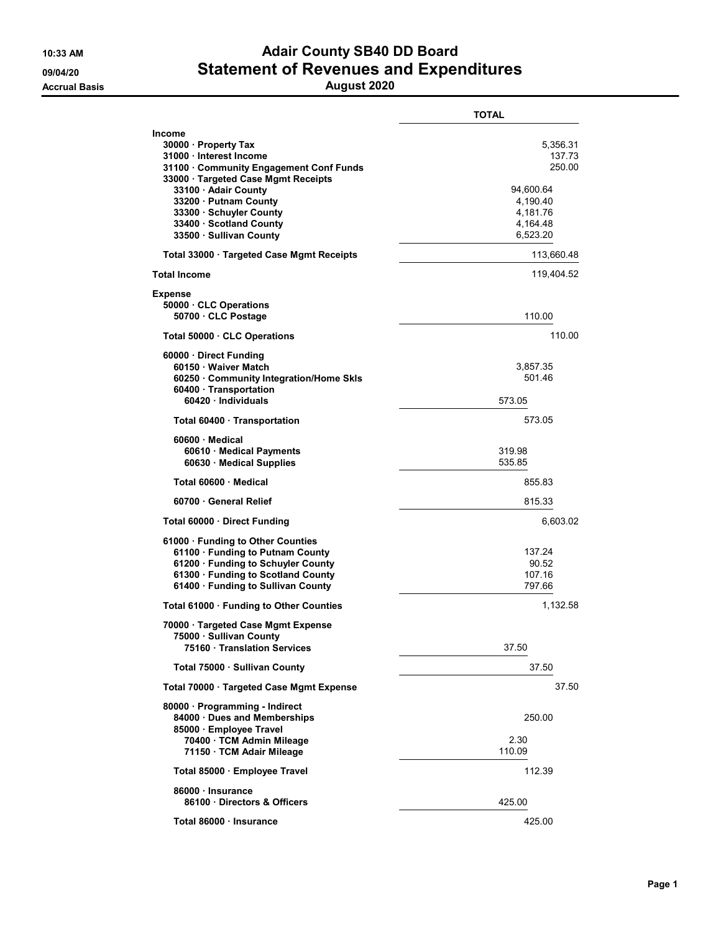## 10:33 AM **Adair County SB40 DD Board** 09/04/20 Statement of Revenues and Expenditures

Accrual Basis August 2020

|                                                                                                                                                                                                                                                                             | <b>TOTAL</b>                                                                              |
|-----------------------------------------------------------------------------------------------------------------------------------------------------------------------------------------------------------------------------------------------------------------------------|-------------------------------------------------------------------------------------------|
| Income<br>30000 · Property Tax<br>31000 · Interest Income<br>31100 Community Engagement Conf Funds<br>33000 · Targeted Case Mgmt Receipts<br>33100 · Adair County<br>33200 · Putnam County<br>33300 · Schuyler County<br>33400 · Scotland County<br>33500 · Sullivan County | 5,356.31<br>137.73<br>250.00<br>94,600.64<br>4,190.40<br>4,181.76<br>4,164.48<br>6,523.20 |
| Total 33000 Targeted Case Mgmt Receipts                                                                                                                                                                                                                                     | 113,660.48                                                                                |
| <b>Total Income</b>                                                                                                                                                                                                                                                         | 119,404.52                                                                                |
| Expense<br>50000 CLC Operations<br>50700 · CLC Postage                                                                                                                                                                                                                      | 110.00                                                                                    |
| Total 50000 · CLC Operations                                                                                                                                                                                                                                                | 110.00                                                                                    |
| 60000 Direct Funding<br>60150 · Waiver Match<br>60250 · Community Integration/Home Skls<br>60400 · Transportation<br>60420 · Individuals                                                                                                                                    | 3,857.35<br>501.46<br>573.05                                                              |
| Total 60400 Transportation                                                                                                                                                                                                                                                  | 573.05                                                                                    |
| $60600 \cdot$ Medical<br>60610 · Medical Payments<br>60630 Medical Supplies                                                                                                                                                                                                 | 319.98<br>535.85                                                                          |
| Total 60600 Medical                                                                                                                                                                                                                                                         | 855.83                                                                                    |
| 60700 General Relief                                                                                                                                                                                                                                                        | 815.33                                                                                    |
| Total 60000 · Direct Funding                                                                                                                                                                                                                                                | 6,603.02                                                                                  |
| 61000 · Funding to Other Counties<br>61100 · Funding to Putnam County<br>61200 · Funding to Schuyler County<br>61300 · Funding to Scotland County<br>61400 · Funding to Sullivan County                                                                                     | 137.24<br>90.52<br>107.16<br>797.66                                                       |
| Total 61000 · Funding to Other Counties                                                                                                                                                                                                                                     | 1,132.58                                                                                  |
| 70000 · Targeted Case Mgmt Expense<br>75000 · Sullivan County<br>75160 Translation Services                                                                                                                                                                                 | 37.50                                                                                     |
| Total 75000 · Sullivan County                                                                                                                                                                                                                                               | 37.50                                                                                     |
| Total 70000 · Targeted Case Mgmt Expense                                                                                                                                                                                                                                    | 37.50                                                                                     |
| 80000 · Programming - Indirect<br>84000 · Dues and Memberships<br>85000 · Employee Travel<br>70400 · TCM Admin Mileage<br>71150 · TCM Adair Mileage                                                                                                                         | 250.00<br>2.30<br>110.09                                                                  |
| Total 85000 · Employee Travel                                                                                                                                                                                                                                               | 112.39                                                                                    |
| 86000 Insurance<br>86100 Directors & Officers                                                                                                                                                                                                                               | 425.00                                                                                    |
| Total 86000 Insurance                                                                                                                                                                                                                                                       | 425.00                                                                                    |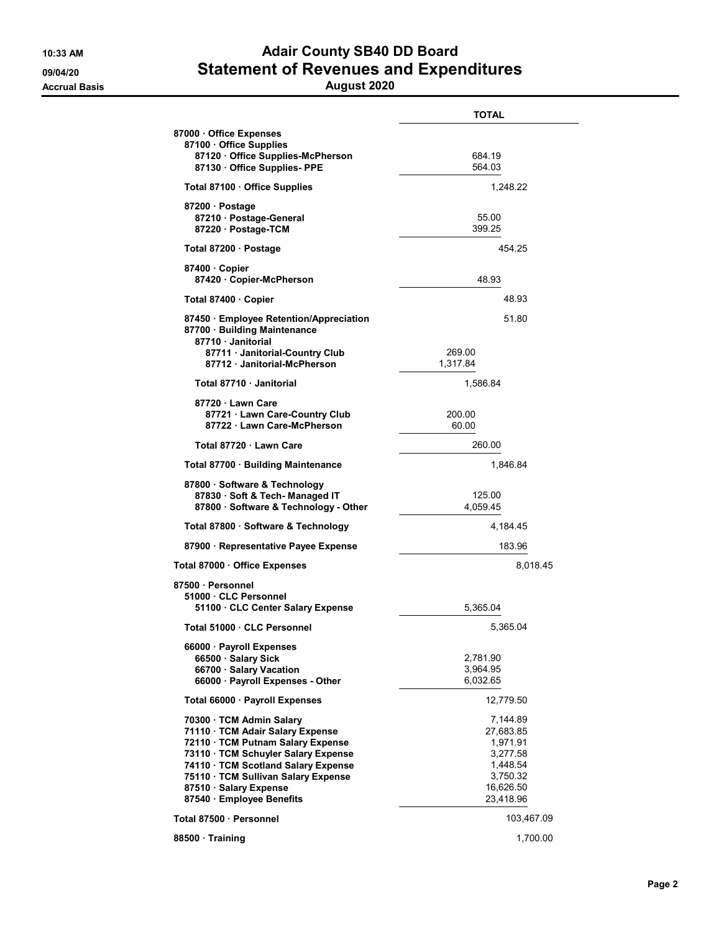## 10:33 AM **Adair County SB40 DD Board** 09/04/20 Statement of Revenues and Expenditures

Accrual Basis August 2020

|                                                                                                                                                                                                                                                                             | TOTAL                                                                                           |
|-----------------------------------------------------------------------------------------------------------------------------------------------------------------------------------------------------------------------------------------------------------------------------|-------------------------------------------------------------------------------------------------|
| 87000 Office Expenses<br>87100 · Office Supplies<br>87120 Office Supplies-McPherson<br>87130 Office Supplies- PPE                                                                                                                                                           | 684.19<br>564.03                                                                                |
| Total 87100 · Office Supplies                                                                                                                                                                                                                                               | 1,248.22                                                                                        |
| 87200 · Postage<br>87210 Postage-General<br>87220 · Postage-TCM                                                                                                                                                                                                             | 55.00<br>399.25                                                                                 |
| Total 87200 · Postage                                                                                                                                                                                                                                                       | 454.25                                                                                          |
| 87400 Copier<br>87420 · Copier-McPherson                                                                                                                                                                                                                                    | 48.93                                                                                           |
| Total 87400 · Copier                                                                                                                                                                                                                                                        | 48.93                                                                                           |
| 87450 Employee Retention/Appreciation<br>87700 · Building Maintenance<br>87710 Janitorial                                                                                                                                                                                   | 51.80                                                                                           |
| 87711 Janitorial-Country Club<br>87712 Janitorial-McPherson                                                                                                                                                                                                                 | 269.00<br>1,317.84                                                                              |
| Total 87710 · Janitorial                                                                                                                                                                                                                                                    | 1,586.84                                                                                        |
| 87720 · Lawn Care<br>87721 · Lawn Care-Country Club<br>87722 Lawn Care-McPherson                                                                                                                                                                                            | 200.00<br>60.00                                                                                 |
| Total 87720 · Lawn Care                                                                                                                                                                                                                                                     | 260.00                                                                                          |
| Total 87700 · Building Maintenance                                                                                                                                                                                                                                          | 1,846.84                                                                                        |
| 87800 · Software & Technology<br>87830 · Soft & Tech- Managed IT<br>87800 Software & Technology - Other                                                                                                                                                                     | 125.00<br>4,059.45                                                                              |
| Total 87800 · Software & Technology                                                                                                                                                                                                                                         | 4,184.45                                                                                        |
| 87900 · Representative Payee Expense                                                                                                                                                                                                                                        | 183.96                                                                                          |
| Total 87000 · Office Expenses                                                                                                                                                                                                                                               | 8,018.45                                                                                        |
| 87500 · Personnel<br>51000 · CLC Personnel<br>51100 CLC Center Salary Expense                                                                                                                                                                                               | 5,365.04                                                                                        |
| Total 51000 · CLC Personnel                                                                                                                                                                                                                                                 | 5,365.04                                                                                        |
| 66000 · Payroll Expenses<br>66500 · Salary Sick<br>66700 · Salary Vacation<br>66000 · Payroll Expenses - Other                                                                                                                                                              | 2,781.90<br>3,964.95<br>6.032.65                                                                |
| Total 66000 · Payroll Expenses                                                                                                                                                                                                                                              | 12,779.50                                                                                       |
| 70300 · TCM Admin Salary<br>71110 · TCM Adair Salary Expense<br>72110 · TCM Putnam Salary Expense<br>73110 · TCM Schuyler Salary Expense<br>74110 TCM Scotland Salary Expense<br>75110 · TCM Sullivan Salary Expense<br>87510 · Salary Expense<br>87540 · Employee Benefits | 7,144.89<br>27,683.85<br>1,971.91<br>3,277.58<br>1,448.54<br>3,750.32<br>16,626.50<br>23,418.96 |
| Total 87500 · Personnel                                                                                                                                                                                                                                                     | 103,467.09                                                                                      |
| 88500 Training                                                                                                                                                                                                                                                              | 1,700.00                                                                                        |